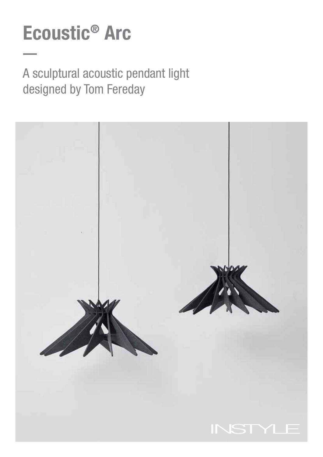# Ecoustic® Arc

A sculptural acoustic pendant light designed by Tom Fereday

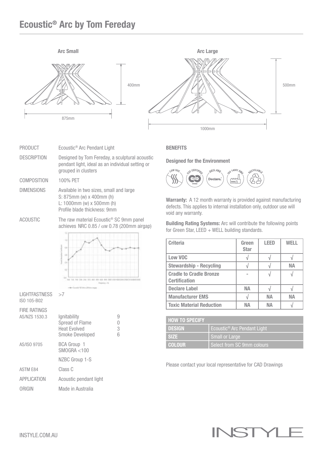## Ecoustic® Arc by Tom Fereday



| PRODUCT            | Ecoustic <sup>®</sup> Arc Pendant Light                                                                                   |
|--------------------|---------------------------------------------------------------------------------------------------------------------------|
| <b>DESCRIPTION</b> | Designed by Tom Fereday, a sculptural acoustic<br>pendant light, ideal as an individual setting or<br>grouped in clusters |
| COMPOSITION        | 100% PET                                                                                                                  |
| <b>DIMENSIONS</b>  | Available in two sizes, small and large<br>S: 875mm (w) x 400mm (h)                                                       |

- L: 1000mm (w) x 500mm (h) Profile blade thickness: 9mm ACOUSTIC The raw material Ecoustic<sup>®</sup> SC 9mm panel
	- achieves NRC 0.85 / αw 0.78 (200mm airgap)



| $LIGHTFASTNESS \rightarrow 7$<br>ISO 105-B02 |                                                                                  |                  |
|----------------------------------------------|----------------------------------------------------------------------------------|------------------|
| <b>FIRE RATINGS</b><br>AS/NZS 1530.3         | lgnitability<br><b>Spread of Flame</b><br><b>Heat Evolved</b><br>Smoke Developed | 9<br>0<br>3<br>հ |
| AS/ISO 9705                                  | <b>BCA Group 1</b><br>SMOGRA < 100                                               |                  |
|                                              | NZBC Group 1-S                                                                   |                  |
| <b>ASTM E84</b>                              | Class C                                                                          |                  |
| <b>APPLICATION</b>                           | Acoustic pendant light                                                           |                  |
| ORIGIN                                       | Made in Australia                                                                |                  |

#### **BENEFITS**

Designed for the Environment



Warranty: A 12 month warranty is provided against manufacturing defects. This applies to internal installation only, outdoor use will void any warranty.

Building Rating Systems: Arc will contribute the following points for Green Star, LEED  $+$  WELL building standards.

| <b>Criteria</b>                                        | Green<br><b>Star</b> | <b>LEED</b> | WELL |
|--------------------------------------------------------|----------------------|-------------|------|
| Low VOC                                                |                      |             |      |
| <b>Stewardship - Recycling</b>                         |                      |             | NА   |
| <b>Cradle to Cradle Bronze</b><br><b>Certification</b> |                      |             |      |
| <b>Declare Label</b>                                   | NА                   |             |      |
| <b>Manufacturer EMS</b>                                |                      | NΑ          | NА   |
| <b>Toxic Material Reduction</b>                        | NΔ                   | NΔ          |      |

| <b>HOW TO SPECIFY</b> |                                         |
|-----------------------|-----------------------------------------|
| <b>DESIGN</b>         | Ecoustic <sup>®</sup> Arc Pendant Light |
| <b>SIZE</b>           | Small or Large                          |
| <b>COLOUR</b>         | Select from SC 9mm colours              |

Please contact your local representative for CAD Drawings

#### INST Υ